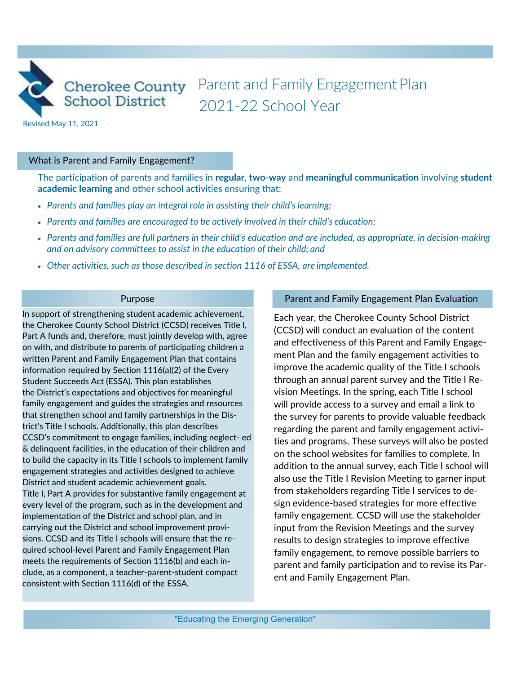

Cherokee County Parent and Family Engagement Plan 2021-22 School Year

Revised May 11, 2021

#### What is Parent and Family Engagement?

The participation of parents and families in **regular**, **two**-**way** and **meaningful communication** involving **student academic learning** and other school activities ensuring that:

- *Parents and families play an integral role in assisting their child's learning;*
- *Parents and families are encouraged to be actively involved in their child's education;*
- *Parents and families are full partners in their child's education and are included, as appropriate, in decision-making and on advisory committees to assist in the education of their child; and*
- *Other activities, such as those described in section 1116 of ESSA, are implemented.*

#### Purpose

In support of strengthening student academic achievement, the Cherokee County School District (CCSD) receives Title I, Part A funds and, therefore, must jointly develop with, agree on with, and distribute to parents of participating children a written Parent and Family Engagement Plan that contains information required by Section 1116(a)(2) of the Every Student Succeeds Act (ESSA). This plan establishes the District's expectations and objectives for meaningful family engagement and guides the strategies and resources that strengthen school and family partnerships in the District's Title I schools. Additionally, this plan describes CCSD's commitment to engage families, including neglect- ed & delinquent facilities, in the education of their children and to build the capacity in its Title I schools to implement family engagement strategies and activities designed to achieve District and student academic achievement goals. Title I, Part A provides for substantive family engagement at every level of the program, such as in the development and implementation of the District and school plan, and in carrying out the District and school improvement provisions. CCSD and its Title I schools will ensure that the required school-level Parent and Family Engagement Plan meets the requirements of Section 1116(b) and each include, as a component, a teacher-parent-student compact consistent with Section 1116(d) of the ESSA.

#### Parent and Family Engagement Plan Evaluation

Each year, the Cherokee County School District (CCSD) will conduct an evaluation of the content and effectiveness of this Parent and Family Engagement Plan and the family engagement activities to improve the academic quality of the Title I schools through an annual parent survey and the Title I Revision Meetings. In the spring, each Title I school will provide access to a survey and email a link to the survey for parents to provide valuable feedback regarding the parent and family engagement activities and programs. These surveys will also be posted on the school websites for families to complete. In addition to the annual survey, each Title I school will also use the Title I Revision Meeting to garner input from stakeholders regarding Title I services to design evidence-based strategies for more effective family engagement. CCSD will use the stakeholder input from the Revision Meetings and the survey results to design strategies to improve effective family engagement, to remove possible barriers to parent and family participation and to revise its Parent and Family Engagement Plan.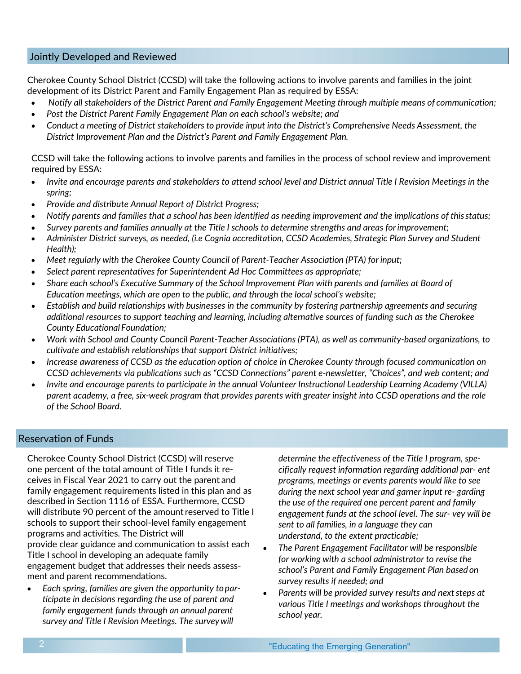## Jointly Developed and Reviewed

Cherokee County School District (CCSD) will take the following actions to involve parents and families in the joint development of its District Parent and Family Engagement Plan as required by ESSA:

- *Notify all stakeholders of the District Parent and Family Engagement Meeting through multiple means of communication;*
- *Post the District Parent Family Engagement Plan on each school's website; and*
- Conduct a meeting of District stakeholders to provide input into the District's Comprehensive Needs Assessment, the *District Improvement Plan and the District's Parent and Family Engagement Plan.*

CCSD will take the following actions to involve parents and families in the process of school review and improvement required by ESSA:

- *Invite and encourage parents and stakeholders to attend school level and District annual Title I Revision Meetings in the spring;*
- *Provide and distribute Annual Report of District Progress;*
- *Notify parents and families that a school has been identified as needing improvement and the implications of this status;*
- *Survey parents and families annually at the Title I schools to determine strengths and areas forimprovement;*
- *Administer District surveys, as needed, (i.e Cognia accreditation, CCSD Academies, Strategic Plan Survey and Student Health);*
- *Meet regularly with the Cherokee County Council of Parent-Teacher Association (PTA) for input;*
- *Select parent representatives for Superintendent Ad Hoc Committees as appropriate;*
- Share each school's Executive Summary of the School Improvement Plan with parents and families at Board of *Education meetings, which are open to the public, and through the local school's website;*
- *Establish and build relationships with businesses in the community by fostering partnership agreements and securing additional resources to support teaching and learning, including alternative sources of funding such as the Cherokee County Educational Foundation;*
- *Work with School and County Council Parent-Teacher Associations (PTA), as well as community-based organizations, to cultivate and establish relationships that support District initiatives;*
- *Increase awareness of CCSD as the education option of choice in Cherokee County through focused communication on CCSD achievements via publications such as "CCSD Connections" parent e-newsletter, "Choices", and web content; and*
- *Invite and encourage parents to participate in the annual Volunteer Instructional Leadership Learning Academy (VILLA) parent academy, a free, six-week program that provides parents with greater insight into CCSD operations and the role of the School Board.*

## Reservation of Funds

Cherokee County School District (CCSD) will reserve one percent of the total amount of Title I funds it receives in Fiscal Year 2021 to carry out the parent and family engagement requirements listed in this plan and as described in Section 1116 of ESSA. Furthermore, CCSD will distribute 90 percent of the amount reserved to Title I schools to support their school-level family engagement programs and activities. The District will provide clear guidance and communication to assist each Title I school in developing an adequate family engagement budget that addresses their needs assessment and parent recommendations.

• *Each spring, families are given the opportunity toparticipate in decisions regarding the use of parent and family engagement funds through an annual parent survey and Title I Revision Meetings. The surveywill*

*determine the effectiveness of the Title I program, specifically request information regarding additional par- ent programs, meetings or events parents would like to see during the next school year and garner input re- garding the use of the required one percent parent and family engagement funds at the school level. The sur- vey will be sent to all families, in a language they can understand, to the extent practicable;*

- *The Parent Engagement Facilitator will be responsible for working with a school administrator to revise the school's Parent and Family Engagement Plan based on survey results if needed; and*
- *Parents will be provided survey results and next steps at various Title I meetings and workshops throughout the school year.*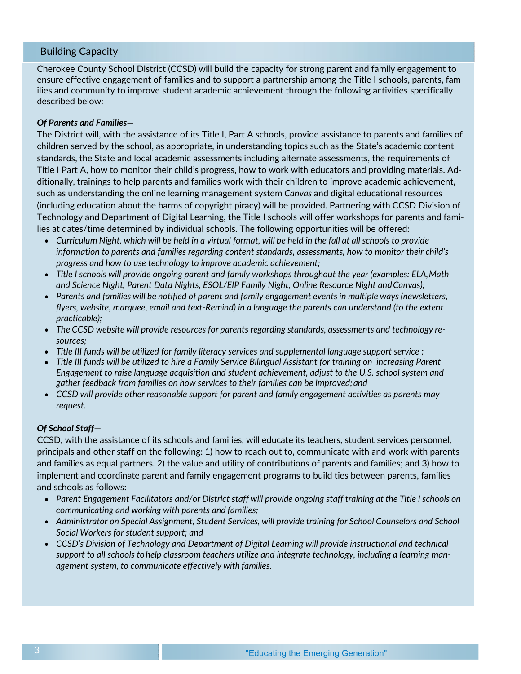## Building Capacity

Cherokee County School District (CCSD) will build the capacity for strong parent and family engagement to ensure effective engagement of families and to support a partnership among the Title I schools, parents, families and community to improve student academic achievement through the following activities specifically described below:

### *Of Parents and Families*—

The District will, with the assistance of its Title I, Part A schools, provide assistance to parents and families of children served by the school, as appropriate, in understanding topics such as the State's academic content standards, the State and local academic assessments including alternate assessments, the requirements of Title I Part A, how to monitor their child's progress, how to work with educators and providing materials. Additionally, trainings to help parents and families work with their children to improve academic achievement, such as understanding the online learning management system *Canvas* and digital educational resources (including education about the harms of copyright piracy) will be provided. Partnering with CCSD Division of Technology and Department of Digital Learning, the Title I schools will offer workshops for parents and families at dates/time determined by individual schools. The following opportunities will be offered:

- *Curriculum Night, which will be held in a virtual format, will be held in the fall at all schools to provide information to parents and families regarding content standards, assessments, how to monitor their child's progress and how to use technology to improve academic achievement;*
- *Title I schools will provide ongoing parent and family workshops throughout the year (examples: ELA,Math and Science Night, Parent Data Nights, ESOL/EIP Family Night, Online Resource Night andCanvas);*
- *Parents and families will be notified of parent and family engagement events in multiple ways (newsletters, flyers, website, marquee, email and text-Remind) in a language the parents can understand (to the extent practicable);*
- *The CCSD website will provide resources for parents regarding standards, assessments and technology resources;*
- *Title III funds will be utilized for family literacy services and supplemental language support service ;*
- *Title III funds will be utilized to hire a Family Service Bilingual Assistant for training on increasing Parent Engagement to raise language acquisition and student achievement, adjust to the U.S. school system and gather feedback from families on how services to their families can be improved;and*
- *CCSD will provide other reasonable support for parent and family engagement activities as parents may request.*

#### *Of School Staff*—

CCSD, with the assistance of its schools and families, will educate its teachers, student services personnel, principals and other staff on the following: 1) how to reach out to, communicate with and work with parents and families as equal partners. 2) the value and utility of contributions of parents and families; and 3) how to implement and coordinate parent and family engagement programs to build ties between parents, families and schools as follows:

- Parent Engagement Facilitators and/or District staff will provide ongoing staff training at the Title I schools on *communicating and working with parents and families;*
- *Administrator on Special Assignment, Student Services, will provide training for School Counselors and School Social Workers for student support; and*
- *CCSD's Division of Technology and Department of Digital Learning will provide instructional and technical support to all schools tohelp classroom teachers utilize and integrate technology, including a learning management system, to communicate effectively with families.*